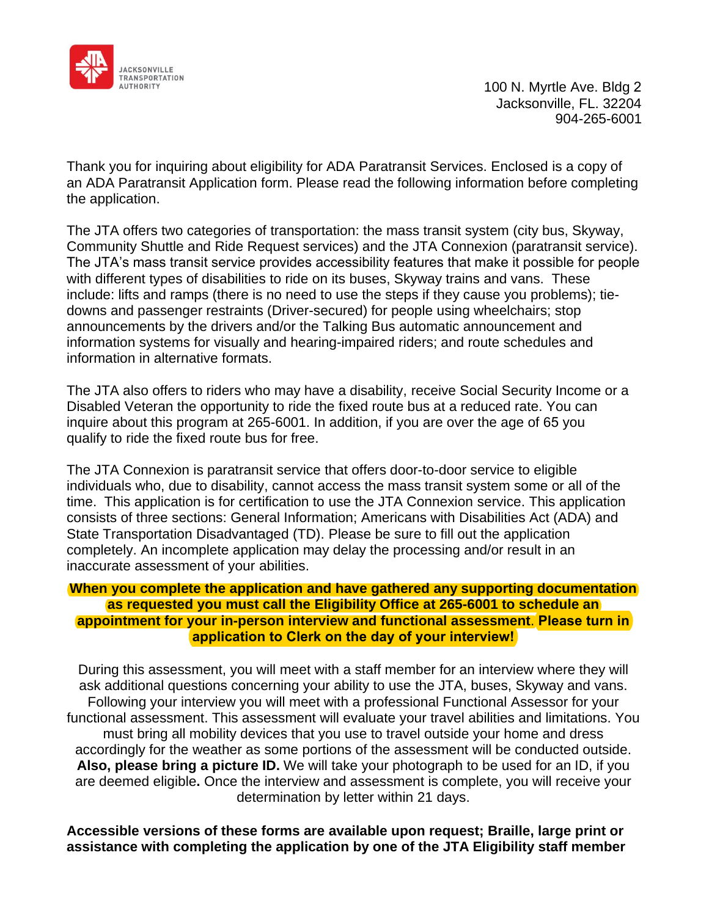

 100 N. Myrtle Ave. Bldg 2 Jacksonville, FL. 32204 904-265-6001

Thank you for inquiring about eligibility for ADA Paratransit Services. Enclosed is a copy of an ADA Paratransit Application form. Please read the following information before completing the application.

The JTA offers two categories of transportation: the mass transit system (city bus, Skyway, Community Shuttle and Ride Request services) and the JTA Connexion (paratransit service). The JTA's mass transit service provides accessibility features that make it possible for people with different types of disabilities to ride on its buses, Skyway trains and vans. These include: lifts and ramps (there is no need to use the steps if they cause you problems); tiedowns and passenger restraints (Driver-secured) for people using wheelchairs; stop announcements by the drivers and/or the Talking Bus automatic announcement and information systems for visually and hearing-impaired riders; and route schedules and information in alternative formats.

The JTA also offers to riders who may have a disability, receive Social Security Income or a Disabled Veteran the opportunity to ride the fixed route bus at a reduced rate. You can inquire about this program at 265-6001. In addition, if you are over the age of 65 you qualify to ride the fixed route bus for free.

The JTA Connexion is paratransit service that offers door-to-door service to eligible individuals who, due to disability, cannot access the mass transit system some or all of the time. This application is for certification to use the JTA Connexion service. This application consists of three sections: General Information; Americans with Disabilities Act (ADA) and State Transportation Disadvantaged (TD). Please be sure to fill out the application completely. An incomplete application may delay the processing and/or result in an inaccurate assessment of your abilities.

#### **When you complete the application and have gathered any supporting documentation as requested you must call the Eligibility Office at 265-6001 to schedule an appointment for your in-person interview and functional assessment**. **Please turn in application to Clerk on the day of your interview!**

During this assessment, you will meet with a staff member for an interview where they will ask additional questions concerning your ability to use the JTA, buses, Skyway and vans. Following your interview you will meet with a professional Functional Assessor for your functional assessment. This assessment will evaluate your travel abilities and limitations. You must bring all mobility devices that you use to travel outside your home and dress accordingly for the weather as some portions of the assessment will be conducted outside. **Also, please bring a picture ID.** We will take your photograph to be used for an ID, if you are deemed eligible**.** Once the interview and assessment is complete, you will receive your determination by letter within 21 days.

**Accessible versions of these forms are available upon request; Braille, large print or assistance with completing the application by one of the JTA Eligibility staff member**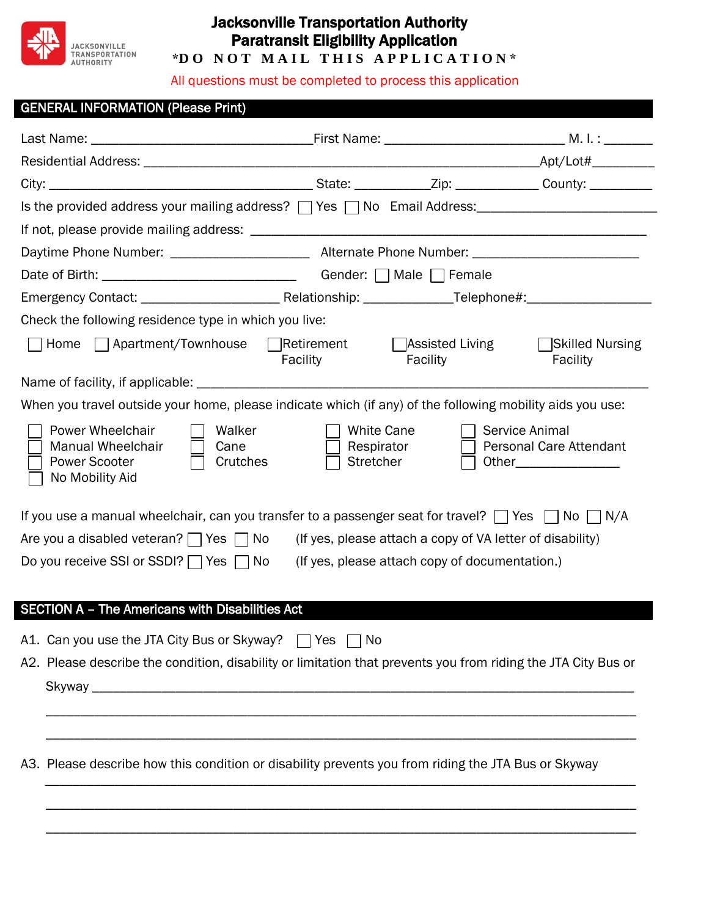

## Jacksonville Transportation Authority Paratransit Eligibility Application

\*DO NOT MAIL THIS APPLICATION\*

All questions must be completed to process this application

| <b>GENERAL INFORMATION (Please Print)</b>                                                                                                                      |                                       |                                                           |                                                                             |  |  |
|----------------------------------------------------------------------------------------------------------------------------------------------------------------|---------------------------------------|-----------------------------------------------------------|-----------------------------------------------------------------------------|--|--|
|                                                                                                                                                                |                                       |                                                           |                                                                             |  |  |
|                                                                                                                                                                |                                       |                                                           |                                                                             |  |  |
|                                                                                                                                                                |                                       |                                                           |                                                                             |  |  |
| Is the provided address your mailing address? TYes TNo Email Address: THE MORE THE MODE IS the provided address your mailing address? TYPES TNO Email Address: |                                       |                                                           |                                                                             |  |  |
|                                                                                                                                                                |                                       |                                                           |                                                                             |  |  |
|                                                                                                                                                                |                                       |                                                           |                                                                             |  |  |
|                                                                                                                                                                |                                       |                                                           |                                                                             |  |  |
|                                                                                                                                                                |                                       |                                                           |                                                                             |  |  |
| Check the following residence type in which you live:                                                                                                          |                                       |                                                           |                                                                             |  |  |
| Home   Apartment/Townhouse   Retirement                                                                                                                        | Facility                              | $\Box$ Assisted Living<br>Facility                        | Skilled Nursing<br>Facility                                                 |  |  |
|                                                                                                                                                                |                                       |                                                           |                                                                             |  |  |
| When you travel outside your home, please indicate which (if any) of the following mobility aids you use:                                                      |                                       |                                                           |                                                                             |  |  |
| Power Wheelchair<br>Walker<br>Manual Wheelchair<br>Cane<br><b>Power Scooter</b><br>Crutches<br>No Mobility Aid                                                 | White Cane<br>Respirator<br>Stretcher |                                                           | Service Animal<br><b>Personal Care Attendant</b><br>Other__________________ |  |  |
| If you use a manual wheelchair, can you transfer to a passenger seat for travel? $\Box$ Yes $\Box$ No $\Box$ N/A                                               |                                       |                                                           |                                                                             |  |  |
| Are you a disabled veteran? $\Box$ Yes $\Box$ No                                                                                                               |                                       | (If yes, please attach a copy of VA letter of disability) |                                                                             |  |  |
| Do you receive SSI or SSDI? $\Box$ Yes $\Box$ No                                                                                                               |                                       | (If yes, please attach copy of documentation.)            |                                                                             |  |  |
| <b>SECTION A - The Americans with Disabilities Act</b>                                                                                                         |                                       |                                                           |                                                                             |  |  |
| A1. Can you use the JTA City Bus or Skyway?                                                                                                                    | Yes<br>No                             |                                                           |                                                                             |  |  |
| A2. Please describe the condition, disability or limitation that prevents you from riding the JTA City Bus or                                                  |                                       |                                                           |                                                                             |  |  |
|                                                                                                                                                                |                                       |                                                           |                                                                             |  |  |
| A3. Please describe how this condition or disability prevents you from riding the JTA Bus or Skyway                                                            |                                       |                                                           |                                                                             |  |  |
|                                                                                                                                                                |                                       |                                                           |                                                                             |  |  |
|                                                                                                                                                                |                                       |                                                           |                                                                             |  |  |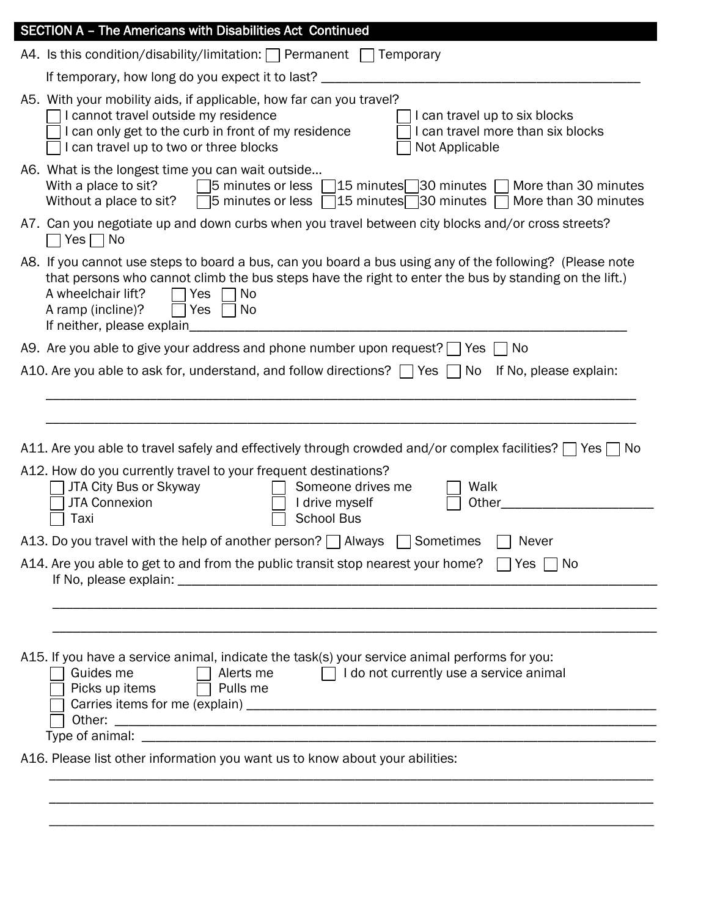| <b>SECTION A - The Americans with Disabilities Act Continued</b>                                                                                                                                                                                                                                                                   |
|------------------------------------------------------------------------------------------------------------------------------------------------------------------------------------------------------------------------------------------------------------------------------------------------------------------------------------|
| A4. Is this condition/disability/limitation: $\Box$ Permanent $\Box$ Temporary                                                                                                                                                                                                                                                     |
| If temporary, how long do you expect it to last?                                                                                                                                                                                                                                                                                   |
| A5. With your mobility aids, if applicable, how far can you travel?<br>I cannot travel outside my residence<br>I can travel up to six blocks<br>I can only get to the curb in front of my residence<br>I can travel more than six blocks<br>I can travel up to two or three blocks<br>Not Applicable                               |
| A6. What is the longest time you can wait outside<br>$\Box$ 5 minutes or less $\Box$ 15 minutes $\Box$ 30 minutes  <br>With a place to sit?<br>More than 30 minutes<br>$\overline{5}$ minutes or less $\overline{15}$ minutes $\overline{30}$ minutes $\overline{5}$<br>More than 30 minutes<br>Without a place to sit?            |
| A7. Can you negotiate up and down curbs when you travel between city blocks and/or cross streets?<br>Yes $\Box$ No                                                                                                                                                                                                                 |
| A8. If you cannot use steps to board a bus, can you board a bus using any of the following? (Please note<br>that persons who cannot climb the bus steps have the right to enter the bus by standing on the lift.)<br>A wheelchair lift?<br><b>Yes</b><br><b>No</b><br>A ramp (incline)?<br>No<br>Yes<br>If neither, please explain |
| A9. Are you able to give your address and phone number upon request? $\Box$ Yes<br>No                                                                                                                                                                                                                                              |
| A10. Are you able to ask for, understand, and follow directions? $\Box$ Yes<br>If No, please explain:<br>□ No                                                                                                                                                                                                                      |
|                                                                                                                                                                                                                                                                                                                                    |
|                                                                                                                                                                                                                                                                                                                                    |
| A11. Are you able to travel safely and effectively through crowded and/or complex facilities? $\Box$ Yes $\Box$<br>No                                                                                                                                                                                                              |
| A12. How do you currently travel to your frequent destinations?<br>JTA City Bus or Skyway<br>Someone drives me<br>Walk<br><b>JTA Connexion</b><br>I drive myself<br>Other<br><b>School Bus</b><br>Taxi                                                                                                                             |
| A13. Do you travel with the help of another person?   Always   Sometimes<br>Never                                                                                                                                                                                                                                                  |
| A14. Are you able to get to and from the public transit stop nearest your home?<br>Yes $\Box$ No                                                                                                                                                                                                                                   |
|                                                                                                                                                                                                                                                                                                                                    |
|                                                                                                                                                                                                                                                                                                                                    |
| A15. If you have a service animal, indicate the task(s) your service animal performs for you:<br>$\Box$ I do not currently use a service animal<br>Guides me<br>Alerts me<br>Picks up items<br>Pulls me<br>Other:                                                                                                                  |
| A16. Please list other information you want us to know about your abilities:                                                                                                                                                                                                                                                       |
|                                                                                                                                                                                                                                                                                                                                    |
|                                                                                                                                                                                                                                                                                                                                    |
|                                                                                                                                                                                                                                                                                                                                    |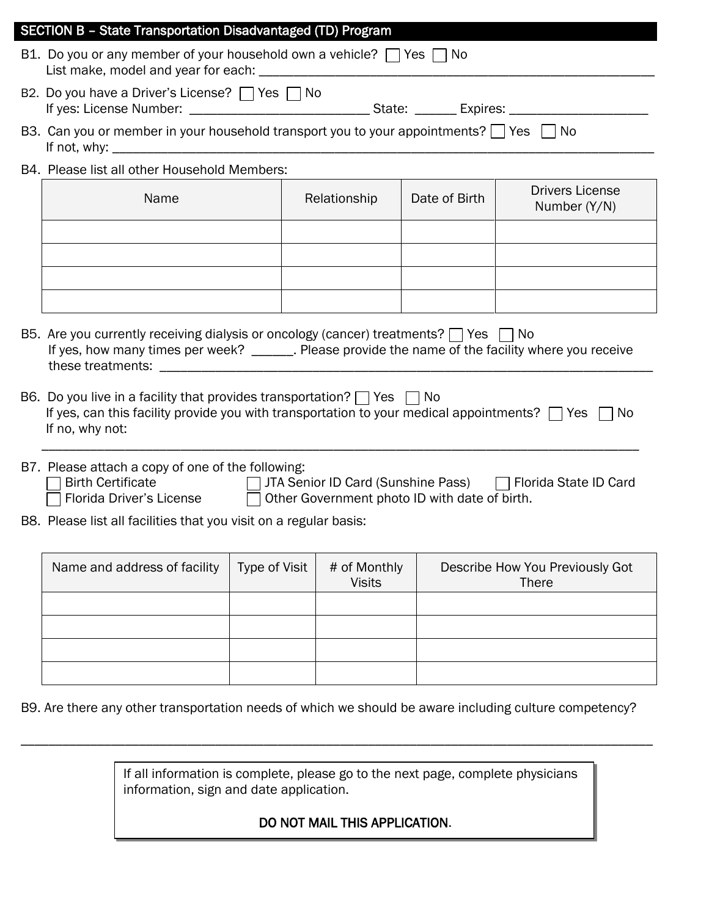| <b>SECTION B - State Transportation Disadvantaged (TD) Program</b>                                                                                                                                                           |                      |              |                               |               |                                                 |  |
|------------------------------------------------------------------------------------------------------------------------------------------------------------------------------------------------------------------------------|----------------------|--------------|-------------------------------|---------------|-------------------------------------------------|--|
| B1. Do you or any member of your household own a vehicle? $\Box$ Yes $\Box$ No                                                                                                                                               |                      |              |                               |               |                                                 |  |
| B2. Do you have a Driver's License? □ Yes □ No                                                                                                                                                                               |                      |              |                               |               |                                                 |  |
| B3. Can you or member in your household transport you to your appointments? $\Box$ Yes $\Box$ No                                                                                                                             |                      |              |                               |               |                                                 |  |
| B4. Please list all other Household Members:                                                                                                                                                                                 |                      |              |                               |               |                                                 |  |
| Name                                                                                                                                                                                                                         |                      | Relationship |                               | Date of Birth | <b>Drivers License</b><br>Number (Y/N)          |  |
|                                                                                                                                                                                                                              |                      |              |                               |               |                                                 |  |
|                                                                                                                                                                                                                              |                      |              |                               |               |                                                 |  |
|                                                                                                                                                                                                                              |                      |              |                               |               |                                                 |  |
|                                                                                                                                                                                                                              |                      |              |                               |               |                                                 |  |
| B5. Are you currently receiving dialysis or oncology (cancer) treatments? $\Box$ Yes $\Box$ No<br>If yes, how many times per week? ______. Please provide the name of the facility where you receive                         |                      |              |                               |               |                                                 |  |
| B6. Do you live in a facility that provides transportation? $\Box$ Yes $\Box$ No<br>If yes, can this facility provide you with transportation to your medical appointments? $\Box$ Yes $\Box$ No<br>If no, why not:          |                      |              |                               |               |                                                 |  |
| B7. Please attach a copy of one of the following:<br>□ JTA Senior ID Card (Sunshine Pass) □ Florida State ID Card<br><b>Birth Certificate</b><br>Florida Driver's License □<br>Other Government photo ID with date of birth. |                      |              |                               |               |                                                 |  |
| B8. Please list all facilities that you visit on a regular basis:                                                                                                                                                            |                      |              |                               |               |                                                 |  |
| Name and address of facility                                                                                                                                                                                                 | <b>Type of Visit</b> |              | # of Monthly<br><b>Visits</b> |               | Describe How You Previously Got<br><b>There</b> |  |
|                                                                                                                                                                                                                              |                      |              |                               |               |                                                 |  |
|                                                                                                                                                                                                                              |                      |              |                               |               |                                                 |  |
|                                                                                                                                                                                                                              |                      |              |                               |               |                                                 |  |
|                                                                                                                                                                                                                              |                      |              |                               |               |                                                 |  |

B9. Are there any other transportation needs of which we should be aware including culture competency?

\_\_\_\_\_\_\_\_\_\_\_\_\_\_\_\_\_\_\_\_\_\_\_\_\_\_\_\_\_\_\_\_\_\_\_\_\_\_\_\_\_\_\_\_\_\_\_\_\_\_\_\_\_\_\_\_\_\_\_\_\_\_\_\_\_\_\_\_\_\_\_\_\_\_\_\_\_\_\_\_\_\_\_\_\_\_\_\_\_\_\_

If all information is complete, please go to the next page, complete physicians information, sign and date application.

DO NOT MAIL THIS APPLICATION.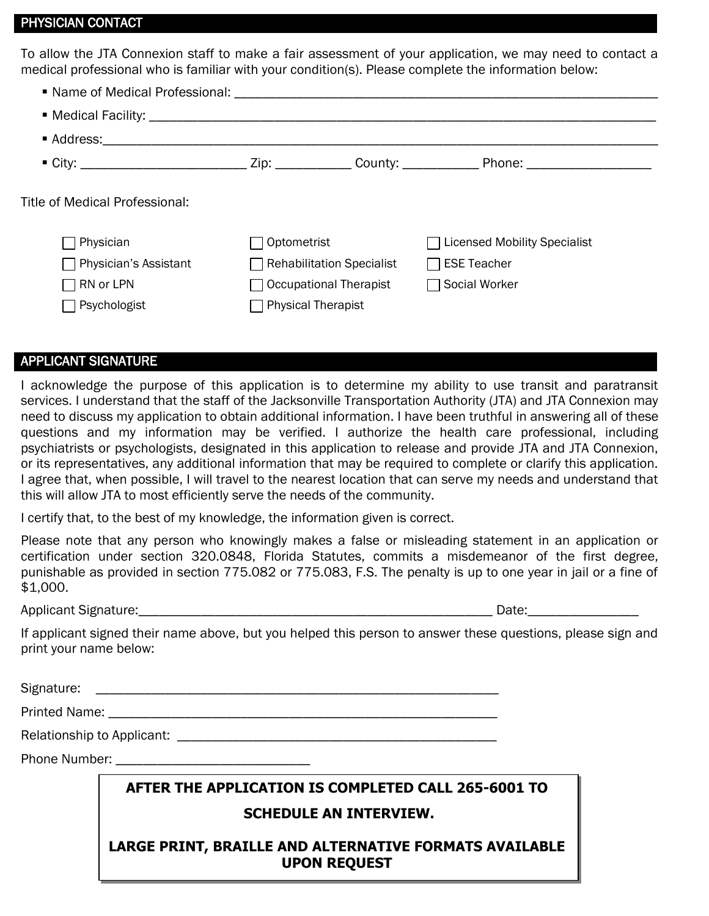#### PHYSICIAN CONTACT

To allow the JTA Connexion staff to make a fair assessment of your application, we may need to contact a medical professional who is familiar with your condition(s). Please complete the information below:

|                                             |             |                                  | " City: _________________________________Zip: _____________County: ______________ Phone: _____________________ |
|---------------------------------------------|-------------|----------------------------------|----------------------------------------------------------------------------------------------------------------|
|                                             |             |                                  |                                                                                                                |
|                                             |             |                                  |                                                                                                                |
| Physician                                   | Optometrist |                                  | <b>Licensed Mobility Specialist</b>                                                                            |
| Physician's Assistant                       |             | $\Box$ Rehabilitation Specialist | $\Box$ ESE Teacher                                                                                             |
| Title of Medical Professional:<br>RN or LPN |             | Occupational Therapist           | Social Worker                                                                                                  |

### APPLICANT SIGNATURE

I acknowledge the purpose of this application is to determine my ability to use transit and paratransit services. I understand that the staff of the Jacksonville Transportation Authority (JTA) and JTA Connexion may need to discuss my application to obtain additional information. I have been truthful in answering all of these questions and my information may be verified. I authorize the health care professional, including psychiatrists or psychologists, designated in this application to release and provide JTA and JTA Connexion, or its representatives, any additional information that may be required to complete or clarify this application. I agree that, when possible, I will travel to the nearest location that can serve my needs and understand that this will allow JTA to most efficiently serve the needs of the community.

I certify that, to the best of my knowledge, the information given is correct.

Please note that any person who knowingly makes a false or misleading statement in an application or certification under section 320.0848, Florida Statutes, commits a misdemeanor of the first degree, punishable as provided in section 775.082 or 775.083, F.S. The penalty is up to one year in jail or a fine of \$1,000.

Applicant Signature:\_\_\_\_\_\_\_\_\_\_\_\_\_\_\_\_\_\_\_\_\_\_\_\_\_\_\_\_\_\_\_\_\_\_\_\_\_\_\_\_\_\_\_\_\_\_\_\_\_\_\_ Date:\_\_\_\_\_\_\_\_\_\_\_\_\_\_\_\_

If applicant signed their name above, but you helped this person to answer these questions, please sign and print your name below:

Signature: \_\_\_\_\_\_\_\_\_\_\_\_\_\_\_\_\_\_\_\_\_\_\_\_\_\_\_\_\_\_\_\_\_\_\_\_\_\_\_\_\_\_\_\_\_\_\_\_\_\_\_\_\_\_\_\_\_\_

Printed Name: \_\_\_\_\_\_\_\_\_\_\_\_\_\_\_\_\_\_\_\_\_\_\_\_\_\_\_\_\_\_\_\_\_\_\_\_\_\_\_\_\_\_\_\_\_\_\_\_\_\_\_\_\_\_\_\_

Relationship to Applicant: \_\_\_\_\_\_\_\_\_\_\_\_\_\_\_\_\_\_\_\_\_\_\_\_\_\_\_\_\_\_\_\_\_\_\_\_\_\_\_\_\_\_\_\_\_\_

Phone Number: \_\_\_\_\_\_\_\_\_\_\_\_\_\_\_\_\_\_\_\_\_\_\_\_\_\_\_\_

## **AFTER THE APPLICATION IS COMPLETED CALL 265-6001 TO SCHEDULE AN INTERVIEW.**

### **LARGE PRINT, BRAILLE AND ALTERNATIVE FORMATS AVAILABLE UPON REQUEST**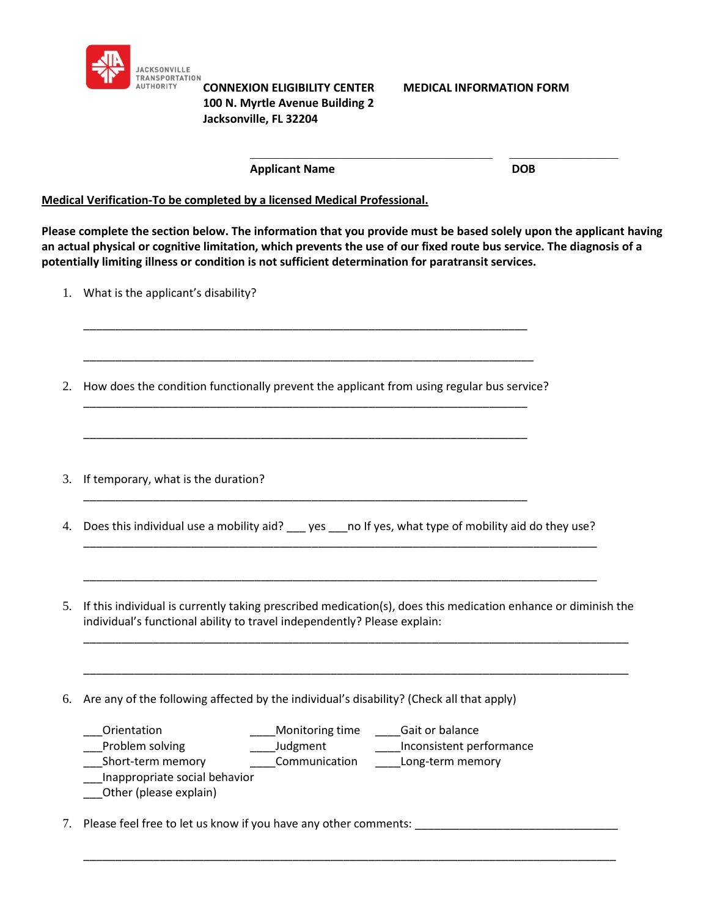

# **100 N. Myrtle Avenue Building 2 Jacksonville, FL 32204**

**CONNEXION ELIGIBILITY CENTER MEDICAL INFORMATION FORM**

| <b>Applicant Name</b> | <b>DOB</b> |
|-----------------------|------------|

**Medical Verification-To be completed by a licensed Medical Professional.**

**Please complete the section below. The information that you provide must be based solely upon the applicant having an actual physical or cognitive limitation, which prevents the use of our fixed route bus service. The diagnosis of a potentially limiting illness or condition is not sufficient determination for paratransit services.**

- 1. What is the applicant's disability?
- 2. How does the condition functionally prevent the applicant from using regular bus service? \_\_\_\_\_\_\_\_\_\_\_\_\_\_\_\_\_\_\_\_\_\_\_\_\_\_\_\_\_\_\_\_\_\_\_\_\_\_\_\_\_\_\_\_\_\_\_\_\_\_\_\_\_\_\_\_\_\_\_\_\_\_\_\_\_\_\_\_\_\_

\_\_\_\_\_\_\_\_\_\_\_\_\_\_\_\_\_\_\_\_\_\_\_\_\_\_\_\_\_\_\_\_\_\_\_\_\_\_\_\_\_\_\_\_\_\_\_\_\_\_\_\_\_\_\_\_\_\_\_\_\_\_\_\_\_\_\_\_\_\_

\_\_\_\_\_\_\_\_\_\_\_\_\_\_\_\_\_\_\_\_\_\_\_\_\_\_\_\_\_\_\_\_\_\_\_\_\_\_\_\_\_\_\_\_\_\_\_\_\_\_\_\_\_\_\_\_\_\_\_\_\_\_\_\_\_\_\_\_\_\_

\_\_\_\_\_\_\_\_\_\_\_\_\_\_\_\_\_\_\_\_\_\_\_\_\_\_\_\_\_\_\_\_\_\_\_\_\_\_\_\_\_\_\_\_\_\_\_\_\_\_\_\_\_\_\_\_\_\_\_\_\_\_\_\_\_\_\_\_\_\_\_

\_\_\_\_\_\_\_\_\_\_\_\_\_\_\_\_\_\_\_\_\_\_\_\_\_\_\_\_\_\_\_\_\_\_\_\_\_\_\_\_\_\_\_\_\_\_\_\_\_\_\_\_\_\_\_\_\_\_\_\_\_\_\_\_\_\_\_\_\_\_

- 3. If temporary, what is the duration?
- 4. Does this individual use a mobility aid? \_\_\_ yes \_\_\_ no If yes, what type of mobility aid do they use?

\_\_\_\_\_\_\_\_\_\_\_\_\_\_\_\_\_\_\_\_\_\_\_\_\_\_\_\_\_\_\_\_\_\_\_\_\_\_\_\_\_\_\_\_\_\_\_\_\_\_\_\_\_\_\_\_\_\_\_\_\_\_\_\_\_\_\_\_\_\_\_\_\_\_\_\_\_\_\_\_\_

\_\_\_\_\_\_\_\_\_\_\_\_\_\_\_\_\_\_\_\_\_\_\_\_\_\_\_\_\_\_\_\_\_\_\_\_\_\_\_\_\_\_\_\_\_\_\_\_\_\_\_\_\_\_\_\_\_\_\_\_\_\_\_\_\_\_\_\_\_\_\_\_\_\_\_\_\_\_\_\_\_

5. If this individual is currently taking prescribed medication(s), does this medication enhance or diminish the individual's functional ability to travel independently? Please explain:

\_\_\_\_\_\_\_\_\_\_\_\_\_\_\_\_\_\_\_\_\_\_\_\_\_\_\_\_\_\_\_\_\_\_\_\_\_\_\_\_\_\_\_\_\_\_\_\_\_\_\_\_\_\_\_\_\_\_\_\_\_\_\_\_\_\_\_\_\_\_\_\_\_\_\_\_\_\_\_\_\_\_\_\_\_\_

\_\_\_\_\_\_\_\_\_\_\_\_\_\_\_\_\_\_\_\_\_\_\_\_\_\_\_\_\_\_\_\_\_\_\_\_\_\_\_\_\_\_\_\_\_\_\_\_\_\_\_\_\_\_\_\_\_\_\_\_\_\_\_\_\_\_\_\_\_\_\_\_\_\_\_\_\_\_\_\_\_\_\_\_\_\_

\_\_\_\_\_\_\_\_\_\_\_\_\_\_\_\_\_\_\_\_\_\_\_\_\_\_\_\_\_\_\_\_\_\_\_\_\_\_\_\_\_\_\_\_\_\_\_\_\_\_\_\_\_\_\_\_\_\_\_\_\_\_\_\_\_\_\_\_\_\_\_\_\_\_\_\_\_\_\_\_\_\_\_\_

6. Are any of the following affected by the individual's disability? (Check all that apply)

| Orientation                   | Monitoring time | Gait or balance          |
|-------------------------------|-----------------|--------------------------|
| Problem solving               | Judgment        | Inconsistent performance |
| Short-term memory             | Communication   | Long-term memory         |
| Inappropriate social behavior |                 |                          |
| Other (please explain)        |                 |                          |

7. Please feel free to let us know if you have any other comments: \_\_\_\_\_\_\_\_\_\_\_\_\_